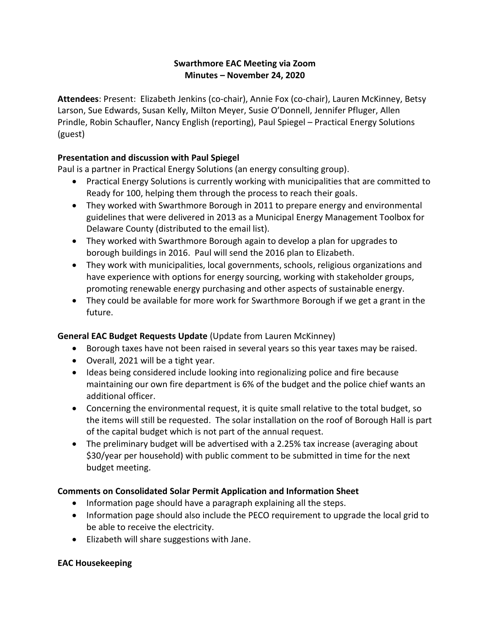## **Swarthmore EAC Meeting via Zoom Minutes – November 24, 2020**

**Attendees**: Present: Elizabeth Jenkins (co-chair), Annie Fox (co-chair), Lauren McKinney, Betsy Larson, Sue Edwards, Susan Kelly, Milton Meyer, Susie O'Donnell, Jennifer Pfluger, Allen Prindle, Robin Schaufler, Nancy English (reporting), Paul Spiegel – Practical Energy Solutions (guest)

## **Presentation and discussion with Paul Spiegel**

Paul is a partner in Practical Energy Solutions (an energy consulting group).

- Practical Energy Solutions is currently working with municipalities that are committed to Ready for 100, helping them through the process to reach their goals.
- They worked with Swarthmore Borough in 2011 to prepare energy and environmental guidelines that were delivered in 2013 as a Municipal Energy Management Toolbox for Delaware County (distributed to the email list).
- They worked with Swarthmore Borough again to develop a plan for upgrades to borough buildings in 2016. Paul will send the 2016 plan to Elizabeth.
- They work with municipalities, local governments, schools, religious organizations and have experience with options for energy sourcing, working with stakeholder groups, promoting renewable energy purchasing and other aspects of sustainable energy.
- They could be available for more work for Swarthmore Borough if we get a grant in the future.

# **General EAC Budget Requests Update** (Update from Lauren McKinney)

- Borough taxes have not been raised in several years so this year taxes may be raised.
- Overall, 2021 will be a tight year.
- Ideas being considered include looking into regionalizing police and fire because maintaining our own fire department is 6% of the budget and the police chief wants an additional officer.
- Concerning the environmental request, it is quite small relative to the total budget, so the items will still be requested. The solar installation on the roof of Borough Hall is part of the capital budget which is not part of the annual request.
- The preliminary budget will be advertised with a 2.25% tax increase (averaging about \$30/year per household) with public comment to be submitted in time for the next budget meeting.

### **Comments on Consolidated Solar Permit Application and Information Sheet**

- Information page should have a paragraph explaining all the steps.
- Information page should also include the PECO requirement to upgrade the local grid to be able to receive the electricity.
- Elizabeth will share suggestions with Jane.

### **EAC Housekeeping**